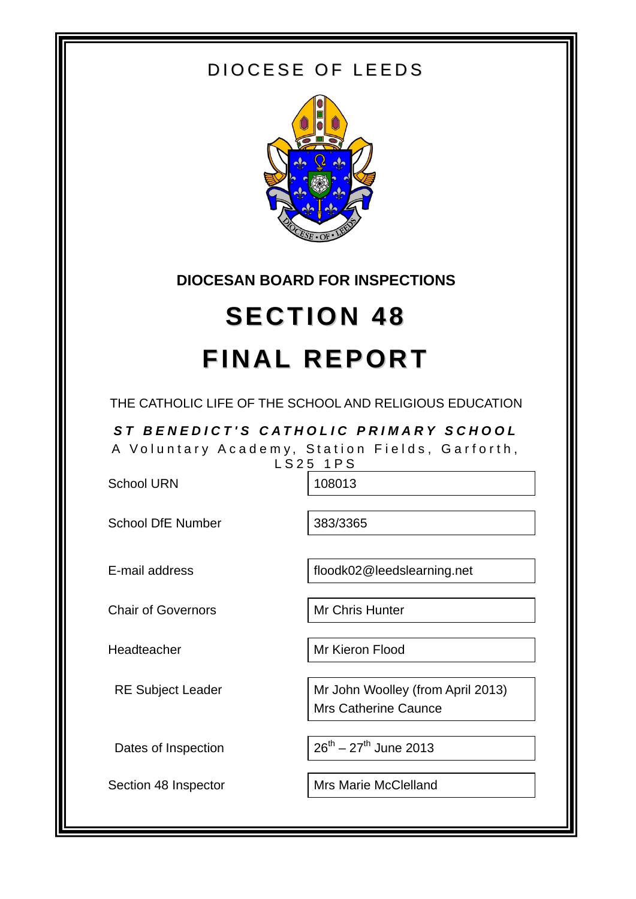# DIOCESE OF LEEDS



# **DIOCESAN BOARD FOR INSPECTIONS**

# **SECTION 48 FINAL REPORT**

THE CATHOLIC LIFE OF THE SCHOOL AND RELIGIOUS EDUCATION

*ST BENEDICT'S CATHOLIC PRIMARY SCHOOL*  A Voluntary Academy, Station Fields, Garforth, LS25 1PS

School URN 108013

School DfE Number 383/3365

E-mail address floodk02@leedslearning.net

Chair of Governors Mr Chris Hunter

Headteacher Mr Kieron Flood

RE Subject Leader **Mr John Woolley (from April 2013)** Mrs Catherine Caunce

Dates of Inspection  $26^{th} - 27^{th}$  June 2013

Section 48 Inspector Mrs Marie McClelland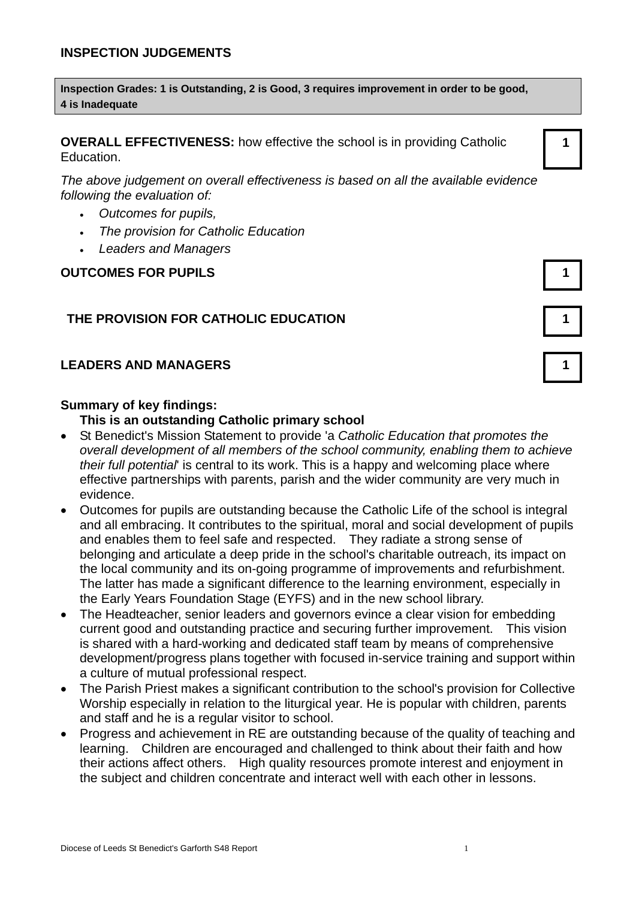**Inspection Grades: 1 is Outstanding, 2 is Good, 3 requires improvement in order to be good, 4 is Inadequate** 

**OVERALL EFFECTIVENESS:** how effective the school is in providing Catholic Education.

*The above judgement on overall effectiveness is based on all the available evidence following the evaluation of:* 

- *Outcomes for pupils,*
- *The provision for Catholic Education*
- *Leaders and Managers*

# **OUTCOMES FOR PUPILS 1**

# **THE PROVISION FOR CATHOLIC EDUCATION**

# **LEADERS AND MANAGERS**

## **Summary of key findings:**

### **This is an outstanding Catholic primary school**

- St Benedict's Mission Statement to provide 'a *Catholic Education that promotes the overall development of all members of the school community, enabling them to achieve their full potential*' is central to its work. This is a happy and welcoming place where effective partnerships with parents, parish and the wider community are very much in evidence.
- Outcomes for pupils are outstanding because the Catholic Life of the school is integral and all embracing. It contributes to the spiritual, moral and social development of pupils and enables them to feel safe and respected. They radiate a strong sense of belonging and articulate a deep pride in the school's charitable outreach, its impact on the local community and its on-going programme of improvements and refurbishment. The latter has made a significant difference to the learning environment, especially in the Early Years Foundation Stage (EYFS) and in the new school library.
- The Headteacher, senior leaders and governors evince a clear vision for embedding current good and outstanding practice and securing further improvement. This vision is shared with a hard-working and dedicated staff team by means of comprehensive development/progress plans together with focused in-service training and support within a culture of mutual professional respect.
- The Parish Priest makes a significant contribution to the school's provision for Collective Worship especially in relation to the liturgical year. He is popular with children, parents and staff and he is a regular visitor to school.
- Progress and achievement in RE are outstanding because of the quality of teaching and learning. Children are encouraged and challenged to think about their faith and how their actions affect others. High quality resources promote interest and enjoyment in the subject and children concentrate and interact well with each other in lessons.

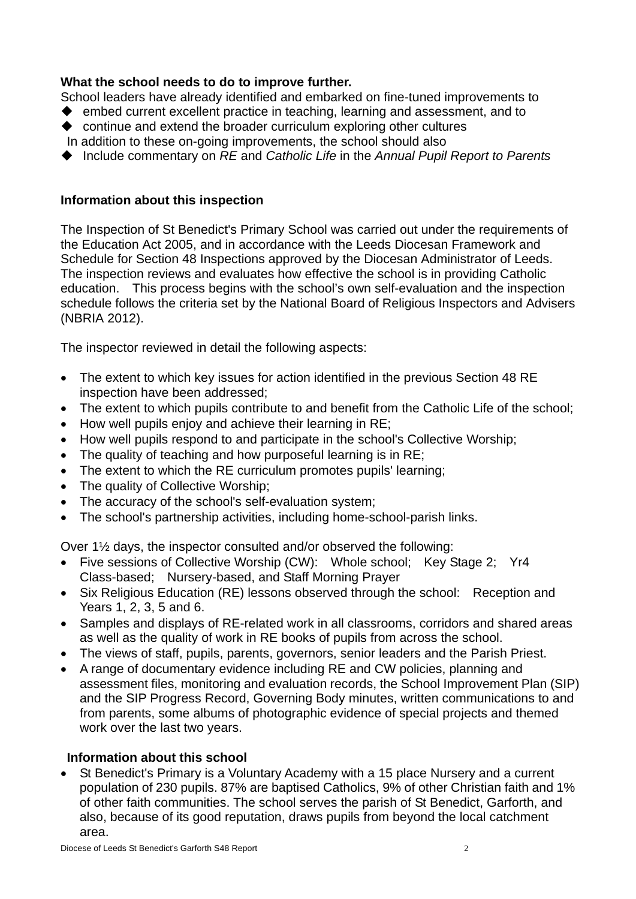#### **What the school needs to do to improve further.**

School leaders have already identified and embarked on fine-tuned improvements to

- ◆ embed current excellent practice in teaching, learning and assessment, and to
- ◆ continue and extend the broader curriculum exploring other cultures
- In addition to these on-going improvements, the school should also
- Include commentary on *RE* and *Catholic Life* in the *Annual Pupil Report to Parents*

#### **Information about this inspection**

The Inspection of St Benedict's Primary School was carried out under the requirements of the Education Act 2005, and in accordance with the Leeds Diocesan Framework and Schedule for Section 48 Inspections approved by the Diocesan Administrator of Leeds. The inspection reviews and evaluates how effective the school is in providing Catholic education. This process begins with the school's own self-evaluation and the inspection schedule follows the criteria set by the National Board of Religious Inspectors and Advisers (NBRIA 2012).

The inspector reviewed in detail the following aspects:

- The extent to which key issues for action identified in the previous Section 48 RE inspection have been addressed;
- The extent to which pupils contribute to and benefit from the Catholic Life of the school;
- How well pupils enjoy and achieve their learning in RE;
- How well pupils respond to and participate in the school's Collective Worship;
- The quality of teaching and how purposeful learning is in RE;
- The extent to which the RE curriculum promotes pupils' learning:
- The quality of Collective Worship;
- The accuracy of the school's self-evaluation system;
- The school's partnership activities, including home-school-parish links.

Over 1½ days, the inspector consulted and/or observed the following:

- Five sessions of Collective Worship (CW): Whole school; Key Stage 2; Yr4 Class-based; Nursery-based, and Staff Morning Prayer
- Six Religious Education (RE) lessons observed through the school: Reception and Years 1, 2, 3, 5 and 6.
- Samples and displays of RE-related work in all classrooms, corridors and shared areas as well as the quality of work in RE books of pupils from across the school.
- The views of staff, pupils, parents, governors, senior leaders and the Parish Priest.
- A range of documentary evidence including RE and CW policies, planning and assessment files, monitoring and evaluation records, the School Improvement Plan (SIP) and the SIP Progress Record, Governing Body minutes, written communications to and from parents, some albums of photographic evidence of special projects and themed work over the last two years.

#### **Information about this school**

 St Benedict's Primary is a Voluntary Academy with a 15 place Nursery and a current population of 230 pupils. 87% are baptised Catholics, 9% of other Christian faith and 1% of other faith communities. The school serves the parish of St Benedict, Garforth, and also, because of its good reputation, draws pupils from beyond the local catchment area.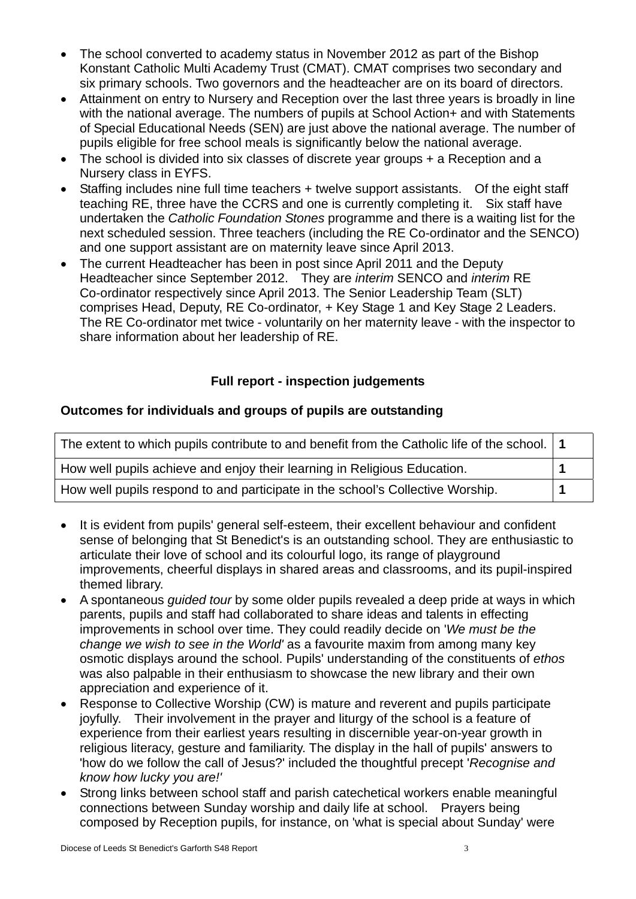- The school converted to academy status in November 2012 as part of the Bishop Konstant Catholic Multi Academy Trust (CMAT). CMAT comprises two secondary and six primary schools. Two governors and the headteacher are on its board of directors.
- Attainment on entry to Nursery and Reception over the last three years is broadly in line with the national average. The numbers of pupils at School Action+ and with Statements of Special Educational Needs (SEN) are just above the national average. The number of pupils eligible for free school meals is significantly below the national average.
- The school is divided into six classes of discrete year groups + a Reception and a Nursery class in EYFS.
- Staffing includes nine full time teachers + twelve support assistants. Of the eight staff teaching RE, three have the CCRS and one is currently completing it. Six staff have undertaken the *Catholic Foundation Stones* programme and there is a waiting list for the next scheduled session. Three teachers (including the RE Co-ordinator and the SENCO) and one support assistant are on maternity leave since April 2013.
- The current Headteacher has been in post since April 2011 and the Deputy Headteacher since September 2012. They are *interim* SENCO and *interim* RE Co-ordinator respectively since April 2013. The Senior Leadership Team (SLT) comprises Head, Deputy, RE Co-ordinator, + Key Stage 1 and Key Stage 2 Leaders. The RE Co-ordinator met twice - voluntarily on her maternity leave - with the inspector to share information about her leadership of RE.

#### **Full report - inspection judgements**

#### **Outcomes for individuals and groups of pupils are outstanding**

| The extent to which pupils contribute to and benefit from the Catholic life of the school.   1 |  |
|------------------------------------------------------------------------------------------------|--|
| How well pupils achieve and enjoy their learning in Religious Education.                       |  |
| How well pupils respond to and participate in the school's Collective Worship.                 |  |

- It is evident from pupils' general self-esteem, their excellent behaviour and confident sense of belonging that St Benedict's is an outstanding school. They are enthusiastic to articulate their love of school and its colourful logo, its range of playground improvements, cheerful displays in shared areas and classrooms, and its pupil-inspired themed library.
- A spontaneous *guided tour* by some older pupils revealed a deep pride at ways in which parents, pupils and staff had collaborated to share ideas and talents in effecting improvements in school over time. They could readily decide on '*We must be the change we wish to see in the World'* as a favourite maxim from among many key osmotic displays around the school. Pupils' understanding of the constituents of *ethos* was also palpable in their enthusiasm to showcase the new library and their own appreciation and experience of it.
- Response to Collective Worship (CW) is mature and reverent and pupils participate joyfully. Their involvement in the prayer and liturgy of the school is a feature of experience from their earliest years resulting in discernible year-on-year growth in religious literacy, gesture and familiarity. The display in the hall of pupils' answers to 'how do we follow the call of Jesus?' included the thoughtful precept '*Recognise and know how lucky you are!'*
- Strong links between school staff and parish catechetical workers enable meaningful connections between Sunday worship and daily life at school. Prayers being composed by Reception pupils, for instance, on 'what is special about Sunday' were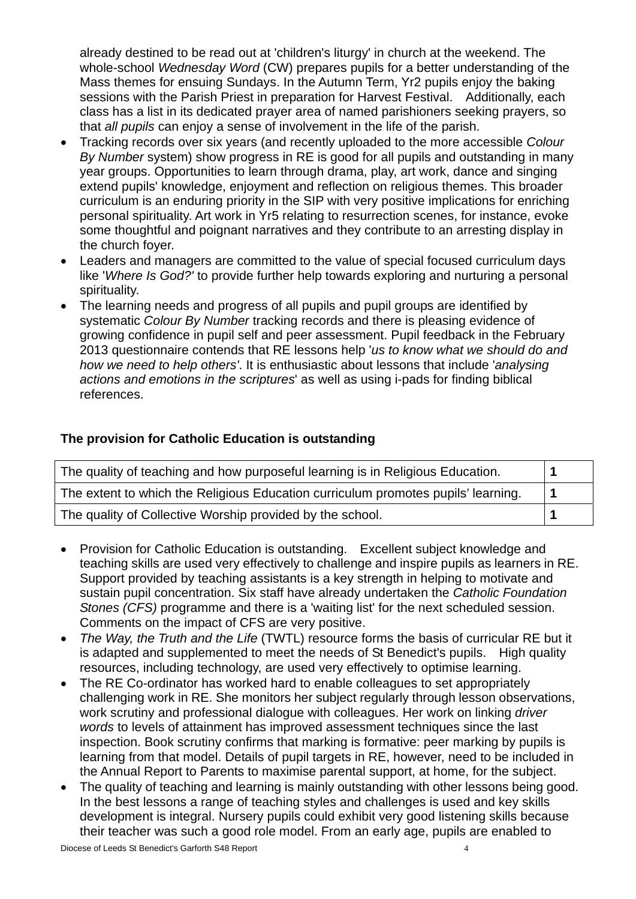already destined to be read out at 'children's liturgy' in church at the weekend. The whole-school *Wednesday Word* (CW) prepares pupils for a better understanding of the Mass themes for ensuing Sundays. In the Autumn Term, Yr2 pupils enjoy the baking sessions with the Parish Priest in preparation for Harvest Festival. Additionally, each class has a list in its dedicated prayer area of named parishioners seeking prayers, so that *all pupils* can enjoy a sense of involvement in the life of the parish.

- Tracking records over six years (and recently uploaded to the more accessible *Colour By Number* system) show progress in RE is good for all pupils and outstanding in many year groups. Opportunities to learn through drama, play, art work, dance and singing extend pupils' knowledge, enjoyment and reflection on religious themes. This broader curriculum is an enduring priority in the SIP with very positive implications for enriching personal spirituality. Art work in Yr5 relating to resurrection scenes, for instance, evoke some thoughtful and poignant narratives and they contribute to an arresting display in the church foyer.
- Leaders and managers are committed to the value of special focused curriculum days like '*Where Is God?'* to provide further help towards exploring and nurturing a personal spirituality.
- The learning needs and progress of all pupils and pupil groups are identified by systematic *Colour By Number* tracking records and there is pleasing evidence of growing confidence in pupil self and peer assessment. Pupil feedback in the February 2013 questionnaire contends that RE lessons help '*us to know what we should do and how we need to help others'*. It is enthusiastic about lessons that include '*analysing actions and emotions in the scriptures*' as well as using i-pads for finding biblical references.

#### **The provision for Catholic Education is outstanding**

| The quality of teaching and how purposeful learning is in Religious Education.    |  |
|-----------------------------------------------------------------------------------|--|
| The extent to which the Religious Education curriculum promotes pupils' learning. |  |
| The quality of Collective Worship provided by the school.                         |  |

- Provision for Catholic Education is outstanding. Excellent subject knowledge and teaching skills are used very effectively to challenge and inspire pupils as learners in RE. Support provided by teaching assistants is a key strength in helping to motivate and sustain pupil concentration. Six staff have already undertaken the *Catholic Foundation Stones (CFS)* programme and there is a 'waiting list' for the next scheduled session. Comments on the impact of CFS are very positive.
- *The Way, the Truth and the Life* (TWTL) resource forms the basis of curricular RE but it is adapted and supplemented to meet the needs of St Benedict's pupils. High quality resources, including technology, are used very effectively to optimise learning.
- The RE Co-ordinator has worked hard to enable colleagues to set appropriately challenging work in RE. She monitors her subject regularly through lesson observations, work scrutiny and professional dialogue with colleagues. Her work on linking *driver words* to levels of attainment has improved assessment techniques since the last inspection. Book scrutiny confirms that marking is formative: peer marking by pupils is learning from that model. Details of pupil targets in RE, however, need to be included in the Annual Report to Parents to maximise parental support, at home, for the subject.
- The quality of teaching and learning is mainly outstanding with other lessons being good. In the best lessons a range of teaching styles and challenges is used and key skills development is integral. Nursery pupils could exhibit very good listening skills because their teacher was such a good role model. From an early age, pupils are enabled to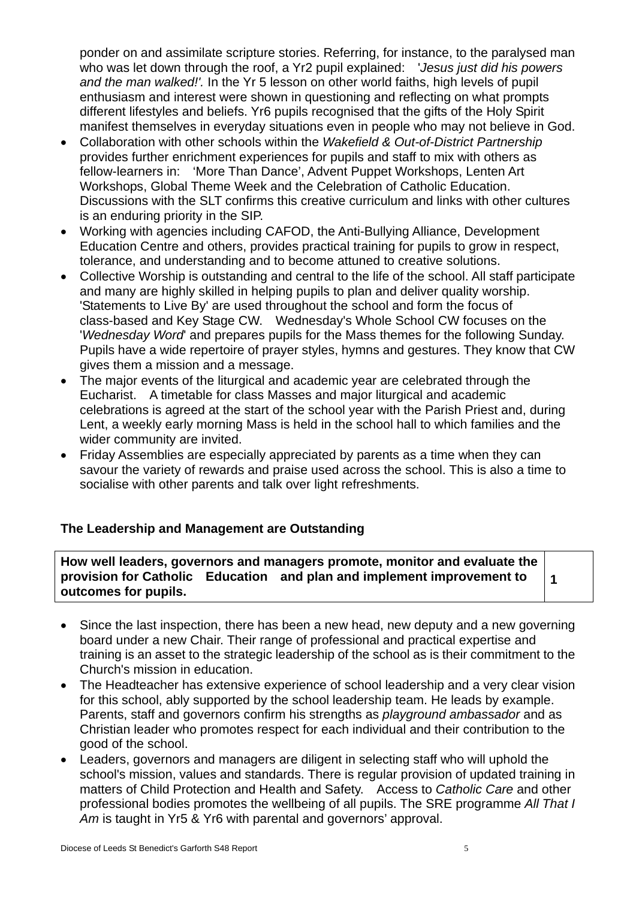ponder on and assimilate scripture stories. Referring, for instance, to the paralysed man who was let down through the roof, a Yr2 pupil explained: '*Jesus just did his powers and the man walked!'.* In the Yr 5 lesson on other world faiths, high levels of pupil enthusiasm and interest were shown in questioning and reflecting on what prompts different lifestyles and beliefs. Yr6 pupils recognised that the gifts of the Holy Spirit manifest themselves in everyday situations even in people who may not believe in God.

- Collaboration with other schools within the *Wakefield & Out-of-District Partnership* provides further enrichment experiences for pupils and staff to mix with others as fellow-learners in: 'More Than Dance', Advent Puppet Workshops, Lenten Art Workshops, Global Theme Week and the Celebration of Catholic Education. Discussions with the SLT confirms this creative curriculum and links with other cultures is an enduring priority in the SIP.
- Working with agencies including CAFOD, the Anti-Bullying Alliance, Development Education Centre and others, provides practical training for pupils to grow in respect, tolerance, and understanding and to become attuned to creative solutions.
- Collective Worship is outstanding and central to the life of the school. All staff participate and many are highly skilled in helping pupils to plan and deliver quality worship. 'Statements to Live By' are used throughout the school and form the focus of class-based and Key Stage CW. Wednesday's Whole School CW focuses on the '*Wednesday Word*' and prepares pupils for the Mass themes for the following Sunday. Pupils have a wide repertoire of prayer styles, hymns and gestures. They know that CW gives them a mission and a message.
- The major events of the liturgical and academic year are celebrated through the Eucharist. A timetable for class Masses and major liturgical and academic celebrations is agreed at the start of the school year with the Parish Priest and, during Lent, a weekly early morning Mass is held in the school hall to which families and the wider community are invited.
- Friday Assemblies are especially appreciated by parents as a time when they can savour the variety of rewards and praise used across the school. This is also a time to socialise with other parents and talk over light refreshments.

#### **The Leadership and Management are Outstanding**

**How well leaders, governors and managers promote, monitor and evaluate the provision for Catholic Education and plan and implement improvement to outcomes for pupils.** 

- Since the last inspection, there has been a new head, new deputy and a new governing board under a new Chair. Their range of professional and practical expertise and training is an asset to the strategic leadership of the school as is their commitment to the Church's mission in education.
- The Headteacher has extensive experience of school leadership and a very clear vision for this school, ably supported by the school leadership team. He leads by example. Parents, staff and governors confirm his strengths as *playground ambassador* and as Christian leader who promotes respect for each individual and their contribution to the good of the school.
- Leaders, governors and managers are diligent in selecting staff who will uphold the school's mission, values and standards. There is regular provision of updated training in matters of Child Protection and Health and Safety. Access to *Catholic Care* and other professional bodies promotes the wellbeing of all pupils. The SRE programme *All That I Am* is taught in Yr5 & Yr6 with parental and governors' approval.

**1**